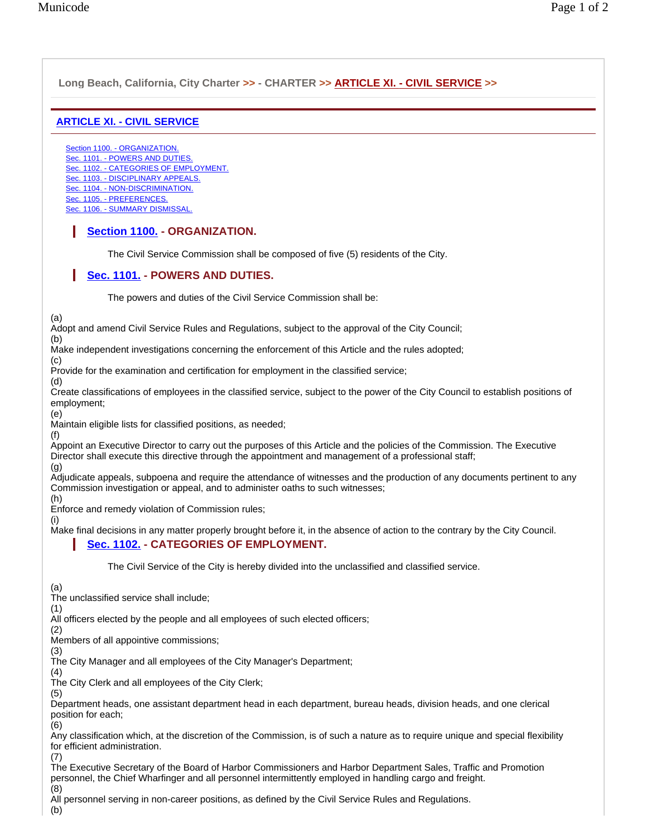## **Long Beach, California, City Charter >> - CHARTER >> ARTICLE XI. - CIVIL SERVICE >> ARTICLE XI. - CIVIL SERVICE** Section 1100. - ORGANIZATION. Sec. 1101. - POWERS AND DUTIES. Sec. 1102. - CATEGORIES OF EMPLOYMENT. Sec. 1103. - DISCIPLINARY APPEALS. Sec. 1104. - NON-DISCRIMINATION. Sec. 1105. - PREFERENCES. Sec. 1106. - SUMMARY DISMISSAL. **Section 1100. - ORGANIZATION.**  The Civil Service Commission shall be composed of five (5) residents of the City. **Sec. 1101. - POWERS AND DUTIES.**  The powers and duties of the Civil Service Commission shall be: (a) Adopt and amend Civil Service Rules and Regulations, subject to the approval of the City Council; (b) Make independent investigations concerning the enforcement of this Article and the rules adopted; (c) Provide for the examination and certification for employment in the classified service; (d) Create classifications of employees in the classified service, subject to the power of the City Council to establish positions of employment; (e) Maintain eligible lists for classified positions, as needed; (f) Appoint an Executive Director to carry out the purposes of this Article and the policies of the Commission. The Executive Director shall execute this directive through the appointment and management of a professional staff; (g) Adjudicate appeals, subpoena and require the attendance of witnesses and the production of any documents pertinent to any Commission investigation or appeal, and to administer oaths to such witnesses; (h) Enforce and remedy violation of Commission rules; (i) Make final decisions in any matter properly brought before it, in the absence of action to the contrary by the City Council. **Sec. 1102. - CATEGORIES OF EMPLOYMENT.**  The Civil Service of the City is hereby divided into the unclassified and classified service. (a) The unclassified service shall include; (1) All officers elected by the people and all employees of such elected officers; (2) Members of all appointive commissions; (3) The City Manager and all employees of the City Manager's Department; (4) The City Clerk and all employees of the City Clerk; (5) Department heads, one assistant department head in each department, bureau heads, division heads, and one clerical position for each; (6) Any classification which, at the discretion of the Commission, is of such a nature as to require unique and special flexibility for efficient administration.

(7)

The Executive Secretary of the Board of Harbor Commissioners and Harbor Department Sales, Traffic and Promotion personnel, the Chief Wharfinger and all personnel intermittently employed in handling cargo and freight. (8)

All personnel serving in non-career positions, as defined by the Civil Service Rules and Regulations.

(b)